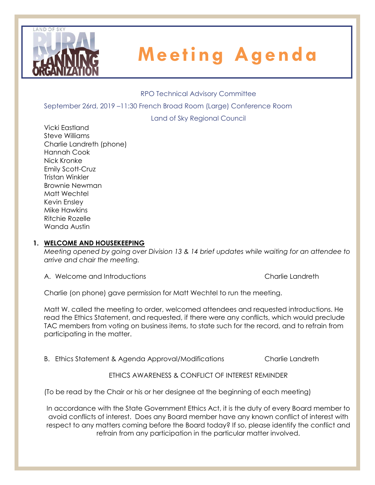

#### RPO Technical Advisory Committee

September 26rd, 2019 –11:30 French Broad Room (Large) Conference Room

Land of Sky Regional Council

Vicki Eastland Steve Williams Charlie Landreth (phone) Hannah Cook Nick Kronke Emily Scott-Cruz Tristan Winkler Brownie Newman Matt Wechtel Kevin Ensley Mike Hawkins Ritchie Rozelle Wanda Austin

#### **1. WELCOME AND HOUSEKEEPING**

*Meeting opened by going over Division 13 & 14 brief updates while waiting for an attendee to arrive and chair the meeting.* 

A. Welcome and Introductions Charlie Landreth Charlie Landreth

Charlie (on phone) gave permission for Matt Wechtel to run the meeting.

Matt W. called the meeting to order, welcomed attendees and requested introductions. He read the Ethics Statement, and requested, if there were any conflicts, which would preclude TAC members from voting on business items, to state such for the record, and to refrain from participating in the matter.

B. Ethics Statement & Agenda Approval/Modifications Charlie Landreth

ETHICS AWARENESS & CONFLICT OF INTEREST REMINDER

(To be read by the Chair or his or her designee at the beginning of each meeting)

In accordance with the State Government Ethics Act, it is the duty of every Board member to avoid conflicts of interest. Does any Board member have any known conflict of interest with respect to any matters coming before the Board today? If so, please identify the conflict and refrain from any participation in the particular matter involved.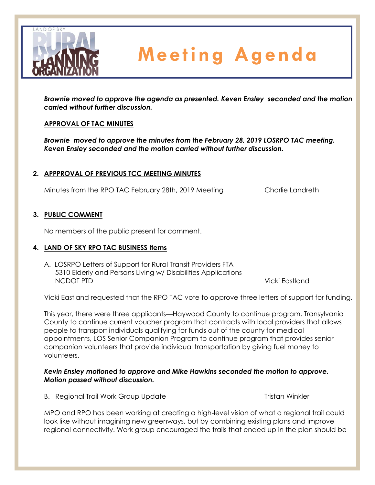

*Brownie moved to approve the agenda as presented. Keven Ensley seconded and the motion carried without further discussion.*

### **APPROVAL OF TAC MINUTES**

*Brownie moved to approve the minutes from the February 28, 2019 LOSRPO TAC meeting. Keven Ensley seconded and the motion carried without further discussion.*

#### **2. APPPROVAL OF PREVIOUS TCC MEETING MINUTES**

Minutes from the RPO TAC February 28th, 2019 Meeting Charlie Landreth

#### **3. PUBLIC COMMENT**

No members of the public present for comment.

#### **4. LAND OF SKY RPO TAC BUSINESS Items**

A. LOSRPO Letters of Support for Rural Transit Providers FTA 5310 Elderly and Persons Living w/ Disabilities Applications NCDOT PTD Vicki Eastland

Vicki Eastland requested that the RPO TAC vote to approve three letters of support for funding.

This year, there were three applicants—Haywood County to continue program, Transylvania County to continue current voucher program that contracts with local providers that allows people to transport individuals qualifying for funds out of the county for medical appointments, LOS Senior Companion Program to continue program that provides senior companion volunteers that provide individual transportation by giving fuel money to volunteers.

#### *Kevin Ensley motioned to approve and Mike Hawkins seconded the motion to approve. Motion passed without discussion.*

B. Regional Trail Work Group Update Tristan Winkler

MPO and RPO has been working at creating a high-level vision of what a regional trail could look like without imagining new greenways, but by combining existing plans and improve regional connectivity. Work group encouraged the trails that ended up in the plan should be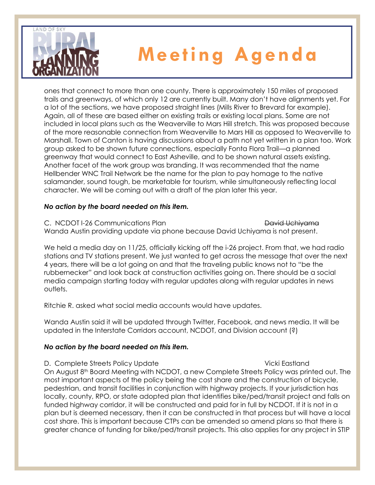

ones that connect to more than one county. There is approximately 150 miles of proposed trails and greenways, of which only 12 are currently built. Many don't have alignments yet. For a lot of the sections, we have proposed straight lines (Mills River to Brevard for example). Again, all of these are based either on existing trails or existing local plans. Some are not included in local plans such as the Weaverville to Mars Hill stretch. This was proposed because of the more reasonable connection from Weaverville to Mars Hill as opposed to Weaverville to Marshall. Town of Canton is having discussions about a path not yet written in a plan too. Work group asked to be shown future connections, especially Fonta Flora Trail—a planned greenway that would connect to East Asheville, and to be shown natural assets existing. Another facet of the work group was branding. It was recommended that the name Hellbender WNC Trail Network be the name for the plan to pay homage to the native salamander, sound tough, be marketable for tourism, while simultaneously reflecting local character. We will be coming out with a draft of the plan later this year.

### *No action by the board needed on this item.*

C. NCDOT I-26 Communications Plan David Uchivama

Wanda Austin providing update via phone because David Uchiyama is not present.

We held a media day on 11/25, officially kicking off the i-26 project. From that, we had radio stations and TV stations present. We just wanted to get across the message that over the next 4 years, there will be a lot going on and that the traveling public knows not to "be the rubbernecker" and look back at construction activities going on. There should be a social media campaign starting today with regular updates along with regular updates in news outlets.

Ritchie R. asked what social media accounts would have updates.

Wanda Austin said it will be updated through Twitter, Facebook, and news media. It will be updated in the Interstate Corridors account, NCDOT, and Division account (?)

### *No action by the board needed on this item.*

D. Complete Streets Policy Update Vicki Eastland On August 8<sup>th</sup> Board Meeting with NCDOT, a new Complete Streets Policy was printed out. The most important aspects of the policy being the cost share and the construction of bicycle, pedestrian, and transit facilities in conjunction with highway projects. If your jurisdiction has locally, county, RPO, or state adopted plan that identifies bike/ped/transit project and falls on funded highway corridor, it will be constructed and paid for in full by NCDOT. If it is not in a plan but is deemed necessary, then it can be constructed in that process but will have a local cost share. This is important because CTPs can be amended so amend plans so that there is greater chance of funding for bike/ped/transit projects. This also applies for any project in STIP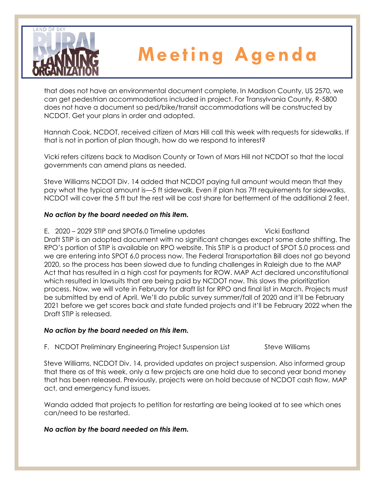

that does not have an environmental document complete. In Madison County, US 2570, we can get pedestrian accommodations included in project. For Transylvania County, R-5800 does not have a document so ped/bike/transit accommodations will be constructed by NCDOT. Get your plans in order and adopted.

Hannah Cook, NCDOT, received citizen of Mars Hill call this week with requests for sidewalks. If that is not in portion of plan though, how do we respond to interest?

Vicki refers citizens back to Madison County or Town of Mars Hill not NCDOT so that the local governments can amend plans as needed.

Steve Williams NCDOT Div. 14 added that NCDOT paying full amount would mean that they pay what the typical amount is—5 ft sidewalk. Even if plan has 7ft requirements for sidewalks, NCDOT will cover the 5 ft but the rest will be cost share for betterment of the additional 2 feet.

### *No action by the board needed on this item.*

E. 2020 – 2029 STIP and SPOT6.0 Timeline updates Vicki Eastland Draft STIP is an adopted document with no significant changes except some date shifting. The RPO's portion of STIP is available on RPO website. This STIP is a product of SPOT 5.0 process and we are entering into SPOT 6.0 process now. The Federal Transportation Bill does not go beyond 2020, so the process has been slowed due to funding challenges in Raleigh due to the MAP Act that has resulted in a high cost for payments for ROW. MAP Act declared unconstitutional which resulted in lawsuits that are being paid by NCDOT now. This slows the prioritization process. Now, we will vote in February for draft list for RPO and final list in March. Projects must be submitted by end of April. We'll do public survey summer/fall of 2020 and it'll be February 2021 before we get scores back and state funded projects and it'll be February 2022 when the Draft STIP is released.

### *No action by the board needed on this item.*

F. NCDOT Preliminary Engineering Project Suspension List Steve Williams

Steve Williams, NCDOT Div. 14, provided updates on project suspension. Also informed group that there as of this week, only a few projects are one hold due to second year bond money that has been released. Previously, projects were on hold because of NCDOT cash flow, MAP act, and emergency fund issues.

Wanda added that projects to petition for restarting are being looked at to see which ones can/need to be restarted.

### *No action by the board needed on this item.*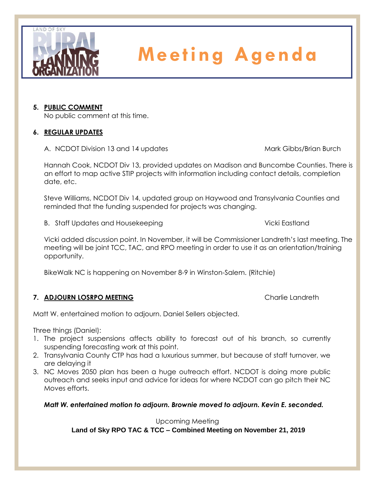

### **5. PUBLIC COMMENT**

No public comment at this time.

### **6. REGULAR UPDATES**

A. NCDOT Division 13 and 14 updates Mark Gibbs/Brian Burch

Hannah Cook, NCDOT Div 13, provided updates on Madison and Buncombe Counties. There is an effort to map active STIP projects with information including contact details, completion date, etc.

Steve Williams, NCDOT Div 14, updated group on Haywood and Transylvania Counties and reminded that the funding suspended for projects was changing.

B. Staff Updates and Housekeeping Vicki Eastland

Vicki added discussion point. In November, it will be Commissioner Landreth's last meeting. The meeting will be joint TCC, TAC, and RPO meeting in order to use it as an orientation/training opportunity.

BikeWalk NC is happening on November 8-9 in Winston-Salem. (Ritchie)

### **7. ADJOURN LOSRPO MEETING Charlie Landreth**

Matt W. entertained motion to adjourn. Daniel Sellers objected.

Three things (Daniel):

- 1. The project suspensions affects ability to forecast out of his branch, so currently suspending forecasting work at this point.
- 2. Transylvania County CTP has had a luxurious summer, but because of staff turnover, we are delaying it
- 3. NC Moves 2050 plan has been a huge outreach effort. NCDOT is doing more public outreach and seeks input and advice for ideas for where NCDOT can go pitch their NC Moves efforts.

*Matt W. entertained motion to adjourn. Brownie moved to adjourn. Kevin E. seconded.* 

### Upcoming Meeting

**Land of Sky RPO TAC & TCC – Combined Meeting on November 21, 2019**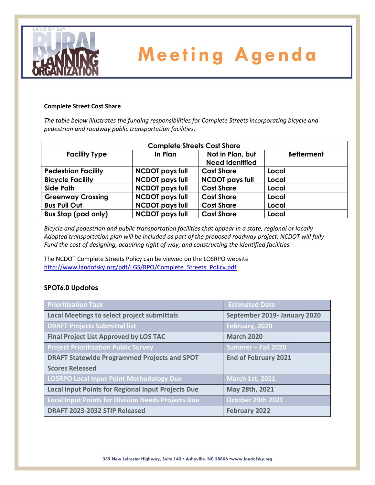

#### **Complete Street Cost Share**

*The table below illustrates the funding responsibilities for Complete Streets incorporating bicycle and pedestrian and roadway public transportation facilities.*

| <b>Complete Streets Cost Share</b> |                        |                                            |                   |  |  |  |  |
|------------------------------------|------------------------|--------------------------------------------|-------------------|--|--|--|--|
| <b>Facility Type</b>               | In Plan                | Not in Plan, but<br><b>Need Identified</b> | <b>Betterment</b> |  |  |  |  |
| <b>Pedestrian Facility</b>         | <b>NCDOT pays full</b> | <b>Cost Share</b>                          | Local             |  |  |  |  |
| <b>Bicycle Facility</b>            | <b>NCDOT pays full</b> | <b>NCDOT pays full</b>                     | Local             |  |  |  |  |
| <b>Side Path</b>                   | <b>NCDOT pays full</b> | <b>Cost Share</b>                          | Local             |  |  |  |  |
| <b>Greenway Crossing</b>           | <b>NCDOT pays full</b> | <b>Cost Share</b>                          | Local             |  |  |  |  |
| <b>Bus Pull Out</b>                | <b>NCDOT pays full</b> | <b>Cost Share</b>                          | Local             |  |  |  |  |
| <b>Bus Stop (pad only)</b>         | <b>NCDOT pays full</b> | <b>Cost Share</b>                          | Local             |  |  |  |  |

*Bicycle and pedestrian and public transportation facilities that appear in a state, regional or locally Adopted transportation plan will be included as part of the proposed roadway project. NCDOT will fully Fund the cost of designing, acquiring right of way, and constructing the identified facilities.*

The NCDOT Complete Streets Policy can be viewed on the LOSRPO website [http://www.landofsky.org/pdf/LGS/RPO/Complete\\_Streets\\_Policy.pdf](http://www.landofsky.org/pdf/LGS/RPO/Complete_Streets_Policy.pdf)

#### **SPOT6.0 Updates**

| <b>Prioritization Task</b>                                | <b>Estimated Date</b>        |
|-----------------------------------------------------------|------------------------------|
| <b>Local Meetings to select project submittals</b>        | September 2019- January 2020 |
| <b>DRAFT Projects Submittal list</b>                      | February, 2020               |
| <b>Final Project List Approved by LOS TAC</b>             | <b>March 2020</b>            |
| <b>Project Prioritization Public Survey</b>               | Summer - Fall 2020           |
| <b>DRAFT Statewide Programmed Projects and SPOT</b>       | <b>End of February 2021</b>  |
| <b>Scores Released</b>                                    |                              |
| LOSRPO Local Input Point Methodology Due                  | <b>March 1st, 2021</b>       |
| <b>Local Input Points for Regional Input Projects Due</b> | May 28th, 2021               |
| Local Input Points for Division Needs Projects Due        | October 29th 2021            |
| DRAFT 2023-2032 STIP Released                             | <b>February 2022</b>         |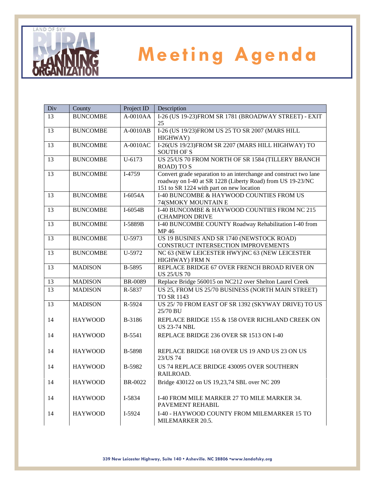

| Div | County          | Project ID     | Description                                                                                                                                                                 |  |
|-----|-----------------|----------------|-----------------------------------------------------------------------------------------------------------------------------------------------------------------------------|--|
| 13  | <b>BUNCOMBE</b> | $A-0010AA$     | I-26 (US 19-23)FROM SR 1781 (BROADWAY STREET) - EXIT<br>25                                                                                                                  |  |
| 13  | <b>BUNCOMBE</b> | $A-0010AB$     | I-26 (US 19/23)FROM US 25 TO SR 2007 (MARS HILL<br>HIGHWAY)                                                                                                                 |  |
| 13  | <b>BUNCOMBE</b> | $A-0010AC$     | I-26(US 19/23)FROM SR 2207 (MARS HILL HIGHWAY) TO<br><b>SOUTH OF S</b>                                                                                                      |  |
| 13  | <b>BUNCOMBE</b> | $U - 6173$     | US 25/US 70 FROM NORTH OF SR 1584 (TILLERY BRANCH<br><b>ROAD) TO S</b>                                                                                                      |  |
| 13  | <b>BUNCOMBE</b> | I-4759         | Convert grade separation to an interchange and construct two lane<br>roadway on I-40 at SR 1228 (Liberty Road) from US 19-23/NC<br>151 to SR 1224 with part on new location |  |
| 13  | <b>BUNCOMBE</b> | $I-6054A$      | I-40 BUNCOMBE & HAYWOOD COUNTIES FROM US<br>74(SMOKY MOUNTAIN E                                                                                                             |  |
| 13  | <b>BUNCOMBE</b> | $I-6054B$      | I-40 BUNCOMBE & HAYWOOD COUNTIES FROM NC 215<br>(CHAMPION DRIVE                                                                                                             |  |
| 13  | <b>BUNCOMBE</b> | I-5889B        | I-40 BUNCOMBE COUNTY Roadway Rehabilitation I-40 from<br>MP 46                                                                                                              |  |
| 13  | <b>BUNCOMBE</b> | U-5973         | US 19 BUSINES AND SR 1740 (NEWSTOCK ROAD)<br>CONSTRUCT INTERSECTION IMPROVEMENTS                                                                                            |  |
| 13  | <b>BUNCOMBE</b> | U-5972         | NC 63 (NEW LEICESTER HWY)NC 63 (NEW LEICESTER<br>HIGHWAY) FRM N                                                                                                             |  |
| 13  | <b>MADISON</b>  | B-5895         | REPLACE BRIDGE 67 OVER FRENCH BROAD RIVER ON<br><b>US 25/US 70</b>                                                                                                          |  |
| 13  | <b>MADISON</b>  | <b>BR-0089</b> | Replace Bridge 560015 on NC212 over Shelton Laurel Creek                                                                                                                    |  |
| 13  | <b>MADISON</b>  | R-5837         | US 25, FROM US 25/70 BUSINESS (NORTH MAIN STREET)<br>TO SR 1143                                                                                                             |  |
| 13  | <b>MADISON</b>  | R-5924         | US 25/70 FROM EAST OF SR 1392 (SKYWAY DRIVE) TO US<br>25/70 BU                                                                                                              |  |
| 14  | <b>HAYWOOD</b>  | B-3186         | REPLACE BRIDGE 155 & 158 OVER RICHLAND CREEK ON<br><b>US 23-74 NBL</b>                                                                                                      |  |
| 14  | <b>HAYWOOD</b>  | B-5541         | REPLACE BRIDGE 236 OVER SR 1513 ON I-40                                                                                                                                     |  |
| 14  | <b>HAYWOOD</b>  | B-5898         | REPLACE BRIDGE 168 OVER US 19 AND US 23 ON US<br>23/US 74                                                                                                                   |  |
| 14  | <b>HAYWOOD</b>  | B-5982         | US 74 REPLACE BRIDGE 430095 OVER SOUTHERN<br>RAILROAD.                                                                                                                      |  |
| 14  | <b>HAYWOOD</b>  | BR-0022        | Bridge 430122 on US 19,23,74 SBL over NC 209                                                                                                                                |  |
| 14  | <b>HAYWOOD</b>  | I-5834         | I-40 FROM MILE MARKER 27 TO MILE MARKER 34.<br>PAVEMENT REHABIL                                                                                                             |  |
| 14  | <b>HAYWOOD</b>  | I-5924         | I-40 - HAYWOOD COUNTY FROM MILEMARKER 15 TO<br>MILEMARKER 20.5.                                                                                                             |  |